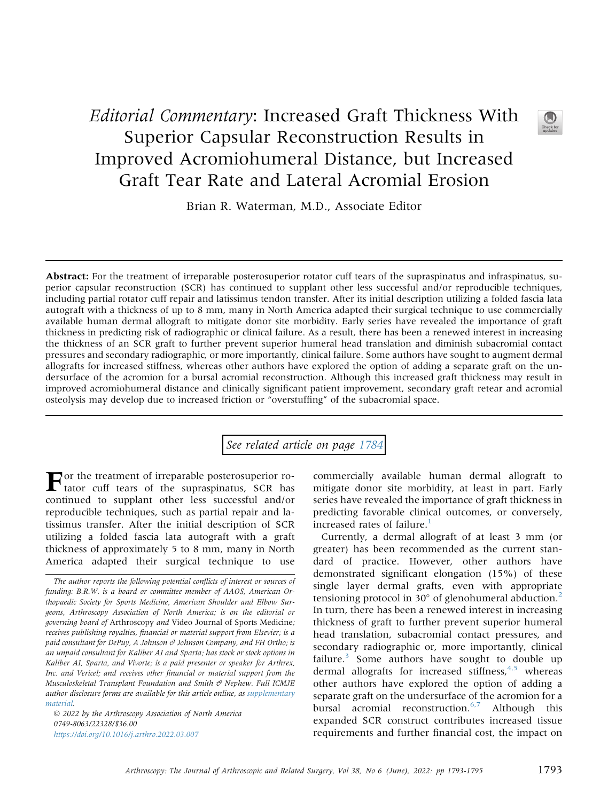## Editorial Commentary: Increased Graft Thickness With Superior Capsular Reconstruction Results in Improved Acromiohumeral Distance, but Increased Graft Tear Rate and Lateral Acromial Erosion

Brian R. Waterman, M.D., Associate Editor

Abstract: For the treatment of irreparable posterosuperior rotator cuff tears of the supraspinatus and infraspinatus, superior capsular reconstruction (SCR) has continued to supplant other less successful and/or reproducible techniques, including partial rotator cuff repair and latissimus tendon transfer. After its initial description utilizing a folded fascia lata autograft with a thickness of up to 8 mm, many in North America adapted their surgical technique to use commercially available human dermal allograft to mitigate donor site morbidity. Early series have revealed the importance of graft thickness in predicting risk of radiographic or clinical failure. As a result, there has been a renewed interest in increasing the thickness of an SCR graft to further prevent superior humeral head translation and diminish subacromial contact pressures and secondary radiographic, or more importantly, clinical failure. Some authors have sought to augment dermal allografts for increased stiffness, whereas other authors have explored the option of adding a separate graft on the undersurface of the acromion for a bursal acromial reconstruction. Although this increased graft thickness may result in improved acromiohumeral distance and clinically significant patient improvement, secondary graft retear and acromial osteolysis may develop due to increased friction or "overstuffing" of the subacromial space.

## See related article on page [1784](http://www.arthroscopyjournal.org/article/S0749-8063(21)01083-5/abstract)

For the treatment of irreparable posterosuperior ro-tator cuff tears of the supraspinatus, SCR has continued to supplant other less successful and/or reproducible techniques, such as partial repair and latissimus transfer. After the initial description of SCR utilizing a folded fascia lata autograft with a graft thickness of approximately 5 to 8 mm, many in North America adapted their surgical technique to use

 2022 by the Arthroscopy Association of North America 0749-8063/22328/\$36.00 <https://doi.org/10.1016/j.arthro.2022.03.007>

commercially available human dermal allograft to mitigate donor site morbidity, at least in part. Early series have revealed the importance of graft thickness in predicting favorable clinical outcomes, or conversely, increased rates of failure.<sup>[1](#page-1-0)</sup>

Currently, a dermal allograft of at least 3 mm (or greater) has been recommended as the current standard of practice. However, other authors have demonstrated significant elongation (15%) of these single layer dermal grafts, even with appropriate tensioning protocol in 30 $^{\circ}$  of glenohumeral abduction.<sup>[2](#page-1-1)</sup> In turn, there has been a renewed interest in increasing thickness of graft to further prevent superior humeral head translation, subacromial contact pressures, and secondary radiographic or, more importantly, clinical failure.<sup>3</sup> Some authors have sought to double up dermal allografts for increased stiffness,  $4.5$  whereas other authors have explored the option of adding a separate graft on the undersurface of the acromion for a bursal acromial reconstruction. $6.7$  Although this expanded SCR construct contributes increased tissue requirements and further financial cost, the impact on



The author reports the following potential conflicts of interest or sources of funding: B.R.W. is a board or committee member of AAOS, American Orthopaedic Society for Sports Medicine, American Shoulder and Elbow Surgeons, Arthroscopy Association of North America; is on the editorial or governing board of Arthroscopy and Video Journal of Sports Medicine; receives publishing royalties, financial or material support from Elsevier; is a paid consultant for DePuy, A Johnson  $\Theta$  Johnson Company, and FH Ortho; is an unpaid consultant for Kaliber AI and Sparta; has stock or stock options in Kaliber AI, Sparta, and Vivorte; is a paid presenter or speaker for Arthrex, Inc. and Vericel; and receives other financial or material support from the Musculoskeletal Transplant Foundation and Smith  $\mathcal O$  Nephew. Full ICMJE author disclosure forms are available for this article online, as supplementary material.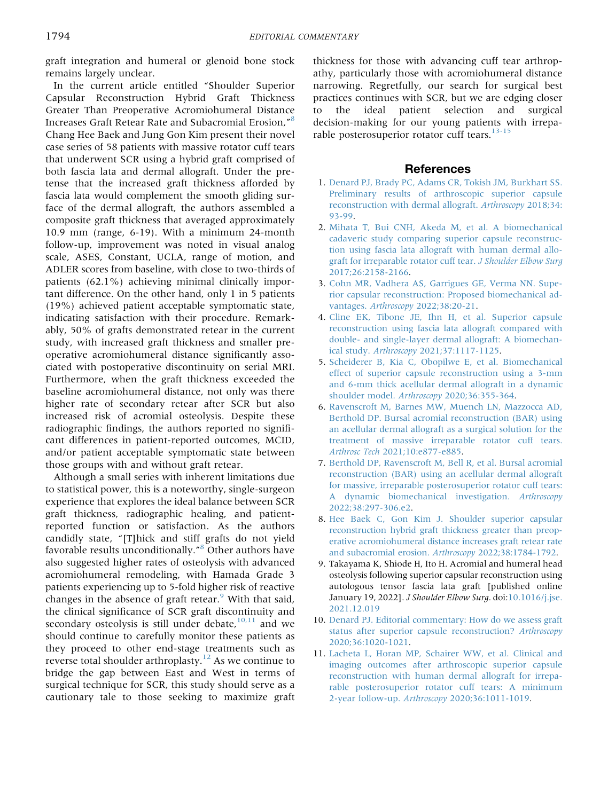graft integration and humeral or glenoid bone stock remains largely unclear.

In the current article entitled "Shoulder Superior Capsular Reconstruction Hybrid Graft Thickness Greater Than Preoperative Acromiohumeral Distance Increases Graft Retear Rate and Subacromial Erosion," [8](#page-1-5) Chang Hee Baek and Jung Gon Kim present their novel case series of 58 patients with massive rotator cuff tears that underwent SCR using a hybrid graft comprised of both fascia lata and dermal allograft. Under the pretense that the increased graft thickness afforded by fascia lata would complement the smooth gliding surface of the dermal allograft, the authors assembled a composite graft thickness that averaged approximately 10.9 mm (range, 6-19). With a minimum 24-month follow-up, improvement was noted in visual analog scale, ASES, Constant, UCLA, range of motion, and ADLER scores from baseline, with close to two-thirds of patients (62.1%) achieving minimal clinically important difference. On the other hand, only 1 in 5 patients (19%) achieved patient acceptable symptomatic state, indicating satisfaction with their procedure. Remarkably, 50% of grafts demonstrated retear in the current study, with increased graft thickness and smaller preoperative acromiohumeral distance significantly associated with postoperative discontinuity on serial MRI. Furthermore, when the graft thickness exceeded the baseline acromiohumeral distance, not only was there higher rate of secondary retear after SCR but also increased risk of acromial osteolysis. Despite these radiographic findings, the authors reported no significant differences in patient-reported outcomes, MCID, and/or patient acceptable symptomatic state between those groups with and without graft retear.

Although a small series with inherent limitations due to statistical power, this is a noteworthy, single-surgeon experience that explores the ideal balance between SCR graft thickness, radiographic healing, and patientreported function or satisfaction. As the authors candidly state, "[T]hick and stiff grafts do not yield favorable results unconditionally." [8](#page-1-5) Other authors have also suggested higher rates of osteolysis with advanced acromiohumeral remodeling, with Hamada Grade 3 patients experiencing up to 5-fold higher risk of reactive changes in the absence of graft retear. $9$  With that said, the clinical significance of SCR graft discontinuity and secondary osteolysis is still under debate, $10,11$  and we should continue to carefully monitor these patients as they proceed to other end-stage treatments such as reverse total shoulder arthroplasty.<sup>[12](#page-2-0)</sup> As we continue to bridge the gap between East and West in terms of surgical technique for SCR, this study should serve as a cautionary tale to those seeking to maximize graft thickness for those with advancing cuff tear arthropathy, particularly those with acromiohumeral distance narrowing. Regretfully, our search for surgical best practices continues with SCR, but we are edging closer to the ideal patient selection and surgical decision-making for our young patients with irreparable posterosuperior rotator cuff tears. $13-15$ 

## **References**

- <span id="page-1-0"></span>1. [Denard PJ, Brady PC, Adams CR, Tokish JM, Burkhart SS.](http://refhub.elsevier.com/S0749-8063(22)00154-2/sref1) [Preliminary results of arthroscopic superior capsule](http://refhub.elsevier.com/S0749-8063(22)00154-2/sref1) [reconstruction with dermal allograft.](http://refhub.elsevier.com/S0749-8063(22)00154-2/sref1) Arthroscopy 2018;34: [93-99.](http://refhub.elsevier.com/S0749-8063(22)00154-2/sref1)
- <span id="page-1-1"></span>2. [Mihata T, Bui CNH, Akeda M, et al. A biomechanical](http://refhub.elsevier.com/S0749-8063(22)00154-2/sref2) [cadaveric study comparing superior capsule reconstruc](http://refhub.elsevier.com/S0749-8063(22)00154-2/sref2)[tion using fascia lata allograft with human dermal allo](http://refhub.elsevier.com/S0749-8063(22)00154-2/sref2)[graft for irreparable rotator cuff tear.](http://refhub.elsevier.com/S0749-8063(22)00154-2/sref2) J Shoulder Elbow Surg [2017;26:2158-2166](http://refhub.elsevier.com/S0749-8063(22)00154-2/sref2).
- <span id="page-1-2"></span>3. [Cohn MR, Vadhera AS, Garrigues GE, Verma NN. Supe](http://refhub.elsevier.com/S0749-8063(22)00154-2/sref3)[rior capsular reconstruction: Proposed biomechanical ad](http://refhub.elsevier.com/S0749-8063(22)00154-2/sref3)vantages. Arthroscopy [2022;38:20-21.](http://refhub.elsevier.com/S0749-8063(22)00154-2/sref3)
- <span id="page-1-3"></span>4. [Cline EK, Tibone JE, Ihn H, et al. Superior capsule](http://refhub.elsevier.com/S0749-8063(22)00154-2/sref4) [reconstruction using fascia lata allograft compared with](http://refhub.elsevier.com/S0749-8063(22)00154-2/sref4) [double- and single-layer dermal allograft: A biomechan](http://refhub.elsevier.com/S0749-8063(22)00154-2/sref4)ical study. Arthroscopy [2021;37:1117-1125.](http://refhub.elsevier.com/S0749-8063(22)00154-2/sref4)
- 5. [Scheiderer B, Kia C, Obopilwe E, et al. Biomechanical](http://refhub.elsevier.com/S0749-8063(22)00154-2/sref5) [effect of superior capsule reconstruction using a 3-mm](http://refhub.elsevier.com/S0749-8063(22)00154-2/sref5) [and 6-mm thick acellular dermal allograft in a dynamic](http://refhub.elsevier.com/S0749-8063(22)00154-2/sref5) shoulder model. Arthroscopy [2020;36:355-364](http://refhub.elsevier.com/S0749-8063(22)00154-2/sref5).
- <span id="page-1-4"></span>6. [Ravenscroft M, Barnes MW, Muench LN, Mazzocca AD,](http://refhub.elsevier.com/S0749-8063(22)00154-2/sref6) [Berthold DP. Bursal acromial reconstruction \(BAR\) using](http://refhub.elsevier.com/S0749-8063(22)00154-2/sref6) [an acellular dermal allograft as a surgical solution for the](http://refhub.elsevier.com/S0749-8063(22)00154-2/sref6) [treatment of massive irreparable rotator cuff tears.](http://refhub.elsevier.com/S0749-8063(22)00154-2/sref6) Arthrosc Tech [2021;10:e877-e885.](http://refhub.elsevier.com/S0749-8063(22)00154-2/sref6)
- 7. [Berthold DP, Ravenscroft M, Bell R, et al. Bursal acromial](http://refhub.elsevier.com/S0749-8063(22)00154-2/sref7) [reconstruction \(BAR\) using an acellular dermal allograft](http://refhub.elsevier.com/S0749-8063(22)00154-2/sref7) [for massive, irreparable posterosuperior rotator cuff tears:](http://refhub.elsevier.com/S0749-8063(22)00154-2/sref7) [A dynamic biomechanical investigation.](http://refhub.elsevier.com/S0749-8063(22)00154-2/sref7) Arthroscopy [2022;38:297-306.e2](http://refhub.elsevier.com/S0749-8063(22)00154-2/sref7).
- <span id="page-1-5"></span>8. [Hee Baek C, Gon Kim J. Shoulder superior capsular](http://refhub.elsevier.com/S0749-8063(22)00154-2/sref8) [reconstruction hybrid graft thickness greater than preop](http://refhub.elsevier.com/S0749-8063(22)00154-2/sref8)[erative acromiohumeral distance increases graft retear rate](http://refhub.elsevier.com/S0749-8063(22)00154-2/sref8) [and subacromial erosion.](http://refhub.elsevier.com/S0749-8063(22)00154-2/sref8) Arthroscopy 2022;38:1784-1792.
- <span id="page-1-6"></span>9. Takayama K, Shiode H, Ito H. Acromial and humeral head osteolysis following superior capsular reconstruction using autologous tensor fascia lata graft [published online January 19, 2022]. J Shoulder Elbow Surg. doi[:10.1016/j.jse.](https://doi.org/10.1016/j.jse.2021.12.019) [2021.12.019](https://doi.org/10.1016/j.jse.2021.12.019)
- <span id="page-1-7"></span>10. [Denard PJ. Editorial commentary: How do we assess graft](http://refhub.elsevier.com/S0749-8063(22)00154-2/sref10) [status after superior capsule reconstruction?](http://refhub.elsevier.com/S0749-8063(22)00154-2/sref10) Arthroscopy [2020;36:1020-1021](http://refhub.elsevier.com/S0749-8063(22)00154-2/sref10).
- 11. [Lacheta L, Horan MP, Schairer WW, et al. Clinical and](http://refhub.elsevier.com/S0749-8063(22)00154-2/sref11) [imaging outcomes after arthroscopic superior capsule](http://refhub.elsevier.com/S0749-8063(22)00154-2/sref11) [reconstruction with human dermal allograft for irrepa](http://refhub.elsevier.com/S0749-8063(22)00154-2/sref11)[rable posterosuperior rotator cuff tears: A minimum](http://refhub.elsevier.com/S0749-8063(22)00154-2/sref11) 2-year follow-up. Arthroscopy [2020;36:1011-1019](http://refhub.elsevier.com/S0749-8063(22)00154-2/sref11).